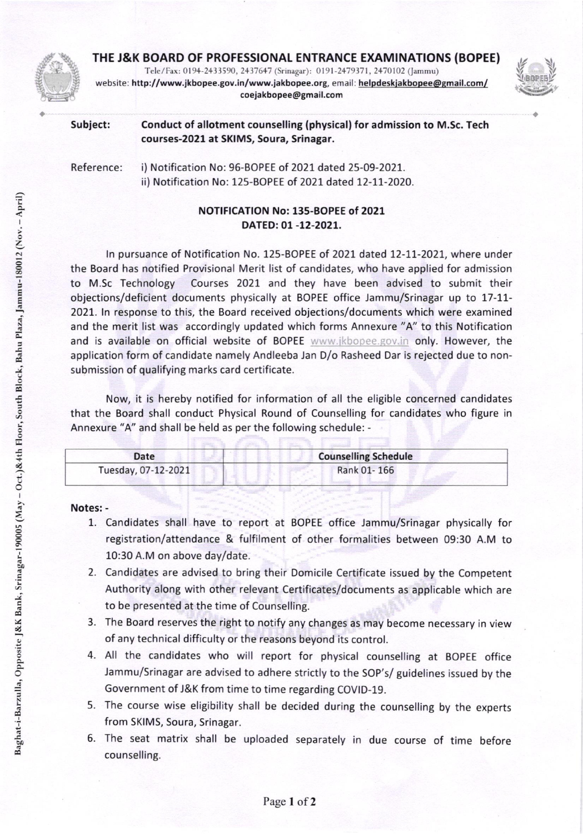

THE J&K BOARD OF PROFESSIONAL ENTRANCE EXAMINATIONS (BOPEE)

Tele/Fax: 0194-2433590, 2437647 (Srinagar): 0191-2479371, 2470102 (Jammu) website: http://www.jkbopee.gov.in/www.jakbopee.org, email: helpdeskjakbopee@gmail.com/ coejakbopee@gmail.com



| Subject: | Conduct of allotment counselling (physical) for admission to M.Sc. Tech |
|----------|-------------------------------------------------------------------------|
|          | courses-2021 at SKIMS, Soura, Srinagar.                                 |

Reference: i) Notification No: 96-BOPEE of 2021 dated 25-09-2021. ii) Notification No: 125-BOPEE of 2021 dated I2-17-2O2O.

## NOTIFICATION No: 13s-BOPEE of 2021 DATED:01 -12-2O2t.

In pursuance of Notification No. 125-BOPEE of 2021 dated 12-11-2021, where under the Board has notified Provisional Merit list of candidates, who have applied for admission to M.Sc Technology Courses 2021 and they have been advised to submit their objections/deficient documents physically at BOPEE office Jammu/Srinagar up to 17-11-2021. ln response to this, the Board received objections/documents which were examined and the merit list was accordingly updated which forms Annexure "A" to this Notification and is available on official website of BOPEE www.jkbopee.gov.in only. However, the application form of candidate namely Andleeba Jan D/o Rasheed Dar is rejected due to nonsubmission of qualifying marks card certificate.

Now, it is hereby notified for information of all the eligible concerned candidates that the Board shall conduct Physical Round of Counselling for candidates who figure in Annexure "A" and shall be held as per the following schedule: -

| Date                | <b>Counselling Schedule</b> |
|---------------------|-----------------------------|
| Tuesday, 07-12-2021 | Rank 01-166                 |

Notes: -

- 1. Candidates shall have to report at BOPEE office Jammu/Srinagar physically for registration/attendance & fulfilment of other formalities between 09:30 A.M to 10:30 A.M on above day/date.
- 2. Candidates are advised to bring their Domicile Certificate issued by the Competent Authority along with other relevant Certificates/documents as applicable which are to be presented at the time of Counselling.
- 3. The Board reserves the right to notify any changes as may become necessary in view of any technical difficulty or the reasons beyond its control.
- 4. All the candidates who will report for physical counselling at BOpEE office Jammu/Srinagar are advised to adhere strictly to the SOp's/ guidelines issued by the Government of J&K from time to time regarding COVID-19.
- 5. The course wise eligibility shall be decided during the counselling by the experts from SKIMS, Soura, Srinagar.
- 6. The seat matrix shall be uploaded separately in due course of time before counselling.